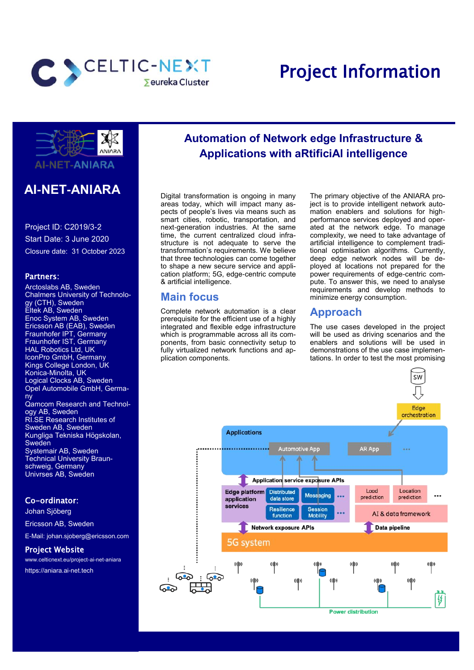

# Project Information



# **AI-NET-ANIARA**

Project ID: C2019/3-2 Start Date: 3 June 2020 Closure date: 31 October 2023

#### Partners:

Arctoslabs AB, Sweden Chalmers University of Technology (CTH), Sweden Eltek AB, Sweden Enoc System AB, Sweden Ericsson AB (EAB), Sweden Fraunhofer IPT, Germany Fraunhofer IST, Germany HAL Robotics Ltd, UK IconPro GmbH, Germany Kings College London, UK Konica-Minolta, UK Logical Clocks AB, Sweden Opel Automobile GmbH, Germany Qamcom Research and Technology AB, Sweden RI.SE Research Institutes of Sweden AB, Sweden Kungliga Tekniska Högskolan, **Sweden** Systemair AB, Sweden **Technical University Braun**schweig, Germany Univrses AB, Sweden

#### Co-ordinator:

Johan Sjöberg Ericsson AB, Sweden E-Mail: johan.sjoberg@ericsson.com

#### Project Website

www.celticnext.eu/project-ai-net-aniara https://aniara.ai-net.tech

# **Automation of Network edge Infrastructure & Applications with aRtificiAl intelligence**

Digital transformation is ongoing in many areas today, which will impact many aspects of people's lives via means such as smart cities, robotic, transportation, and next-generation industries. At the same time, the current centralized cloud infrastructure is not adequate to serve the transformation's requirements. We believe that three technologies can come together to shape a new secure service and application platform; 5G, edge-centric compute & artificial intelligence.

#### **Main focus**

Complete network automation is a clear prerequisite for the efficient use of a highly integrated and flexible edge infrastructure which is programmable across all its components, from basic connectivity setup to fully virtualized network functions and application components.

The primary objective of the ANIARA project is to provide intelligent network automation enablers and solutions for highperformance services deployed and operated at the network edge. To manage complexity, we need to take advantage of artificial intelligence to complement traditional optimisation algorithms. Currently, deep edge network nodes will be deployed at locations not prepared for the power requirements of edge-centric compute. To answer this, we need to analyse requirements and develop methods to minimize energy consumption.

#### **Approach**

The use cases developed in the project will be used as driving scenarios and the enablers and solutions will be used in demonstrations of the use case implementations. In order to test the most promising